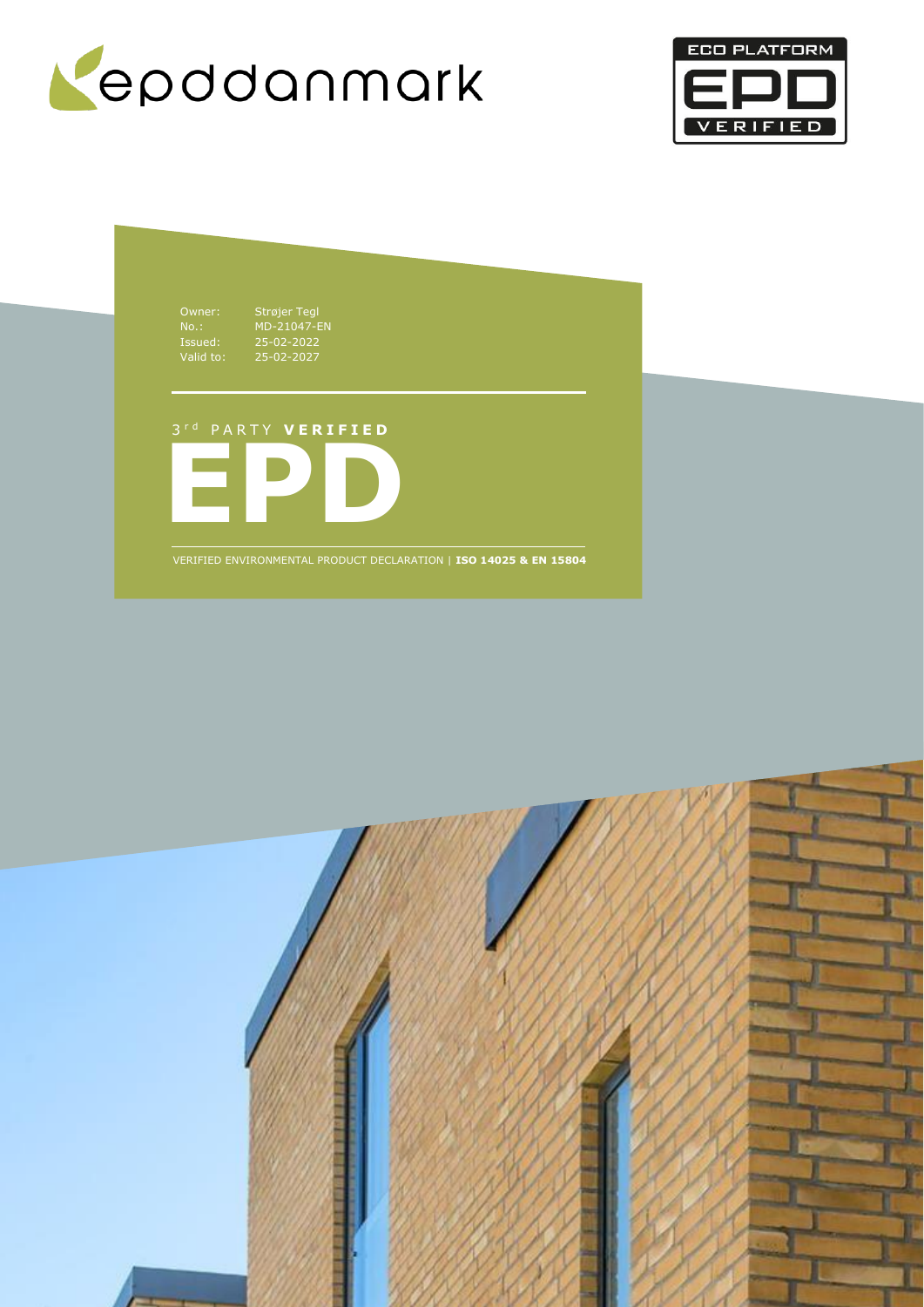



Owner: Strøjer Tegl

No.: MD-21047-EN Issued: 25-02-2022 Valid to: 25-02-2027

# 3 r d P A R T Y **V E R I F I E D**



VERIFIED ENVIRONMENTAL PRODUCT DECLARATION | **ISO 14025 & EN 15804**

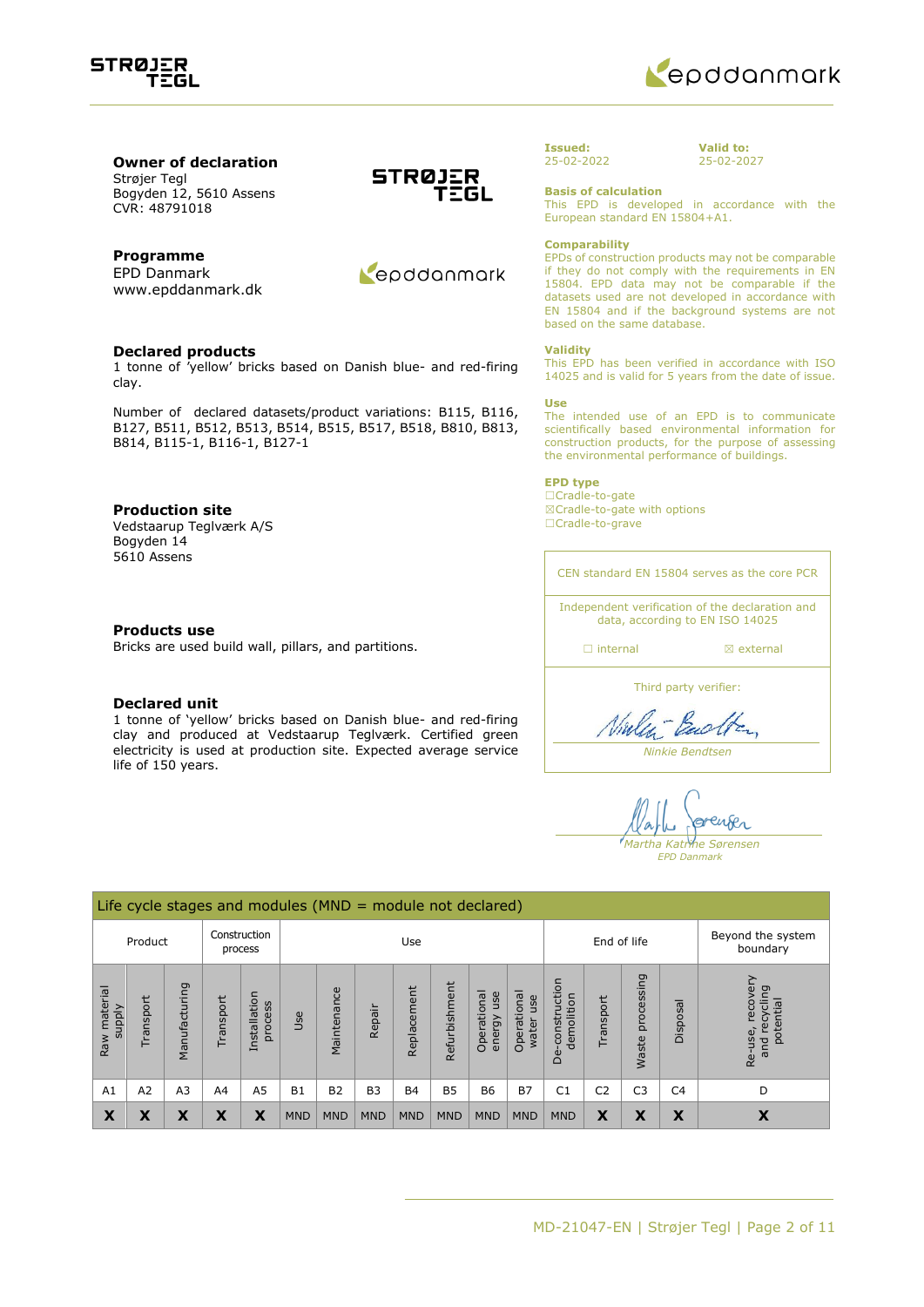



#### **Owner of declaration** Strøjer Tegl

Bogyden 12, 5610 Assens CVR: 48791018

## **Programme**

EPD Danmark www.epddanmark.dk

#### **Declared products**

1 tonne of 'yellow' bricks based on Danish blue- and red-firing clay.

Number of declared datasets/product variations: B115, B116, B127, B511, B512, B513, B514, B515, B517, B518, B810, B813, B814, B115-1, B116-1, B127-1

### **Production site**

Vedstaarup Teglværk A/S Bogyden 14 5610 Assens

#### **Products use**

Bricks are used build wall, pillars, and partitions.

#### **Declared unit**

1 tonne of 'yellow' bricks based on Danish blue- and red-firing clay and produced at Vedstaarup Teglværk. Certified green electricity is used at production site. Expected average service life of 150 years.





#### **Issued:** 25-02-2022

**Valid to:** 25-02-2027

**Basis of calculation**

This EPD is developed in accordance with the European standard EN 15804+A1.

#### **Comparability**

EPDs of construction products may not be comparable if they do not comply with the requirements in EN 15804. EPD data may not be comparable if the datasets used are not developed in accordance with EN 15804 and if the background systems are not based on the same database.

#### **Validity**

This EPD has been verified in accordance with ISO 14025 and is valid for 5 years from the date of issue.

#### **Use**

The intended use of an EPD is to communicate scientifically based environmental information for construction products, for the purpose of assessing the environmental performance of buildings.

#### **EPD type**

☐Cradle-to-gate ☒Cradle-to-gate with options ☐Cradle-to-grave

CEN standard EN 15804 serves as the core PCR

Independent verification of the declaration and data, according to EN ISO 14025

□ internal **a** external

Third party verifier:

Vialen Backten

*Ninkie Bendtsen*

grenter *Martha Katrine Sørensen EPD Danmark*

Life cycle stages and modules (MND = module not declared) Construction Use End of life Beyond the system Product process boundary Re-use, recovery<br>and recycling<br>potential Re-use, recovery De-construction processing Waste processing De-construction Manufacturing Raw material Refurbishment Refurbishment and recycling Raw material Manufacturing Operational Operational Installation Maintenance Replacement Replacement Operational Operational energy use Installation water use demolition Transport Transport Transport process supply Disposal Repair Use Waste A1 | A2 | A3 | A4 | A5 | B1 | B2 | B3 | B4 | B5 | B6 | B7 | C1 | C2 | C3 | C4 | D  $\textbf{X}$  **x**  $\textbf{X}$  **x**  $\textbf{X}$  **x**  $\textbf{X}$  mnd mnd mnd mnd mnd mnd mnd mnd  $\textbf{X}$   $\textbf{X}$   $\textbf{X}$   $\textbf{X}$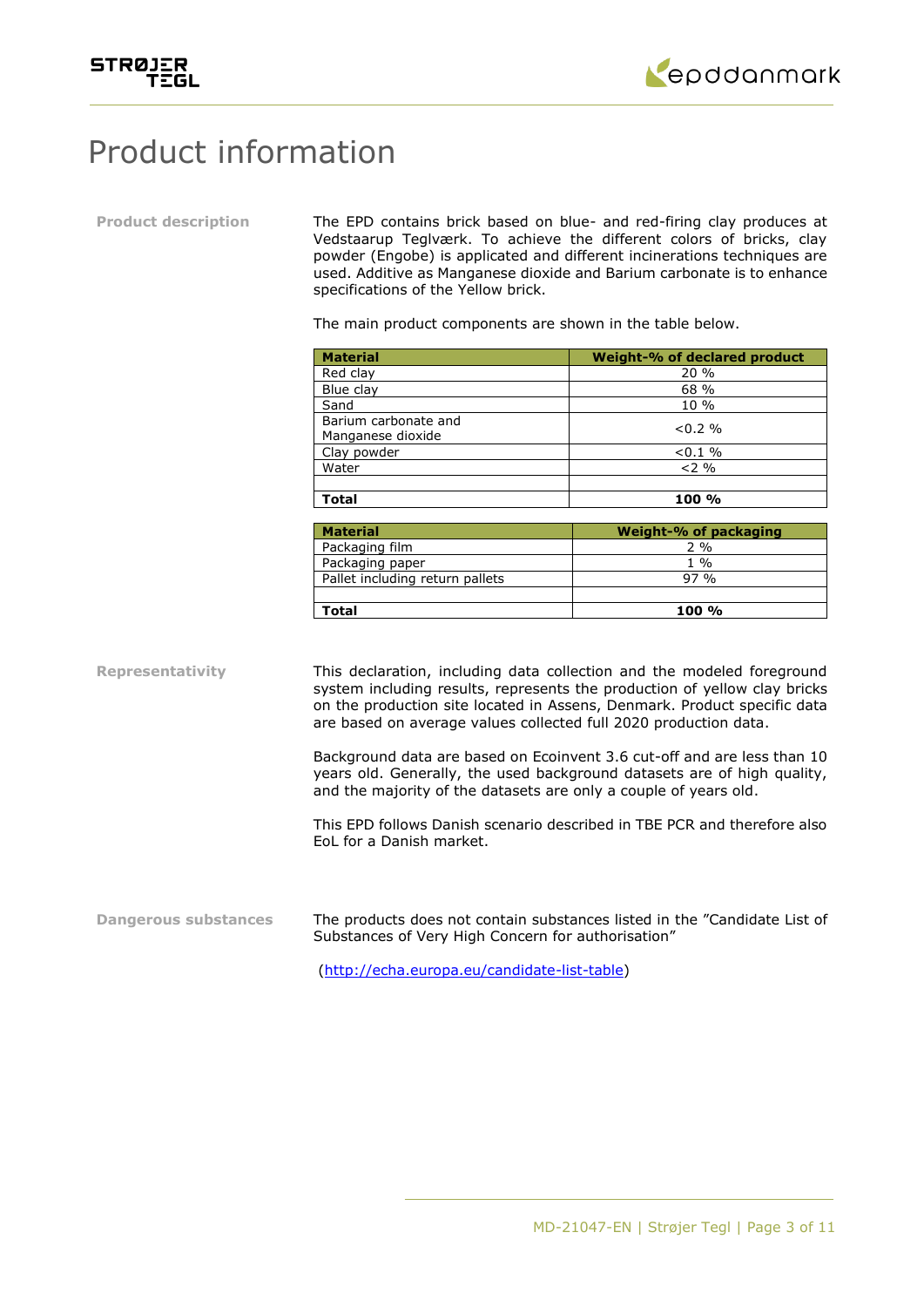



## Product information

**Product description** The EPD contains brick based on blue- and red-firing clay produces at Vedstaarup Teglværk. To achieve the different colors of bricks, clay powder (Engobe) is applicated and different incinerations techniques are used. Additive as Manganese dioxide and Barium carbonate is to enhance specifications of the Yellow brick.

The main product components are shown in the table below.

| <b>Material</b>      | Weight-% of declared product |
|----------------------|------------------------------|
| Red clay             | 20%                          |
| Blue clay            | 68 %                         |
| Sand                 | 10 %                         |
| Barium carbonate and | $< 0.2 \%$                   |
| Manganese dioxide    |                              |
| Clay powder          | $< 0.1 \%$                   |
| Water                | $2\%$                        |
|                      |                              |
| Total                | 100 %                        |

| <b>Material</b>                 | Weight-% of packaging |
|---------------------------------|-----------------------|
| Packaging film                  | ን %                   |
| Packaging paper                 | 1 %                   |
| Pallet including return pallets | 97.9 <sub>0</sub>     |
|                                 |                       |
| Total                           | $100 \%$              |

**Representativity** This declaration, including data collection and the modeled foreground system including results, represents the production of yellow clay bricks on the production site located in Assens, Denmark. Product specific data are based on average values collected full 2020 production data.

> Background data are based on Ecoinvent 3.6 cut-off and are less than 10 years old. Generally, the used background datasets are of high quality, and the majority of the datasets are only a couple of years old.

> This EPD follows Danish scenario described in TBE PCR and therefore also EoL for a Danish market.

**Dangerous substances** The products does not contain substances listed in the "Candidate List of Substances of Very High Concern for authorisation"

[\(http://echa.europa.eu/candidate-list-table\)](http://echa.europa.eu/candidate-list-table)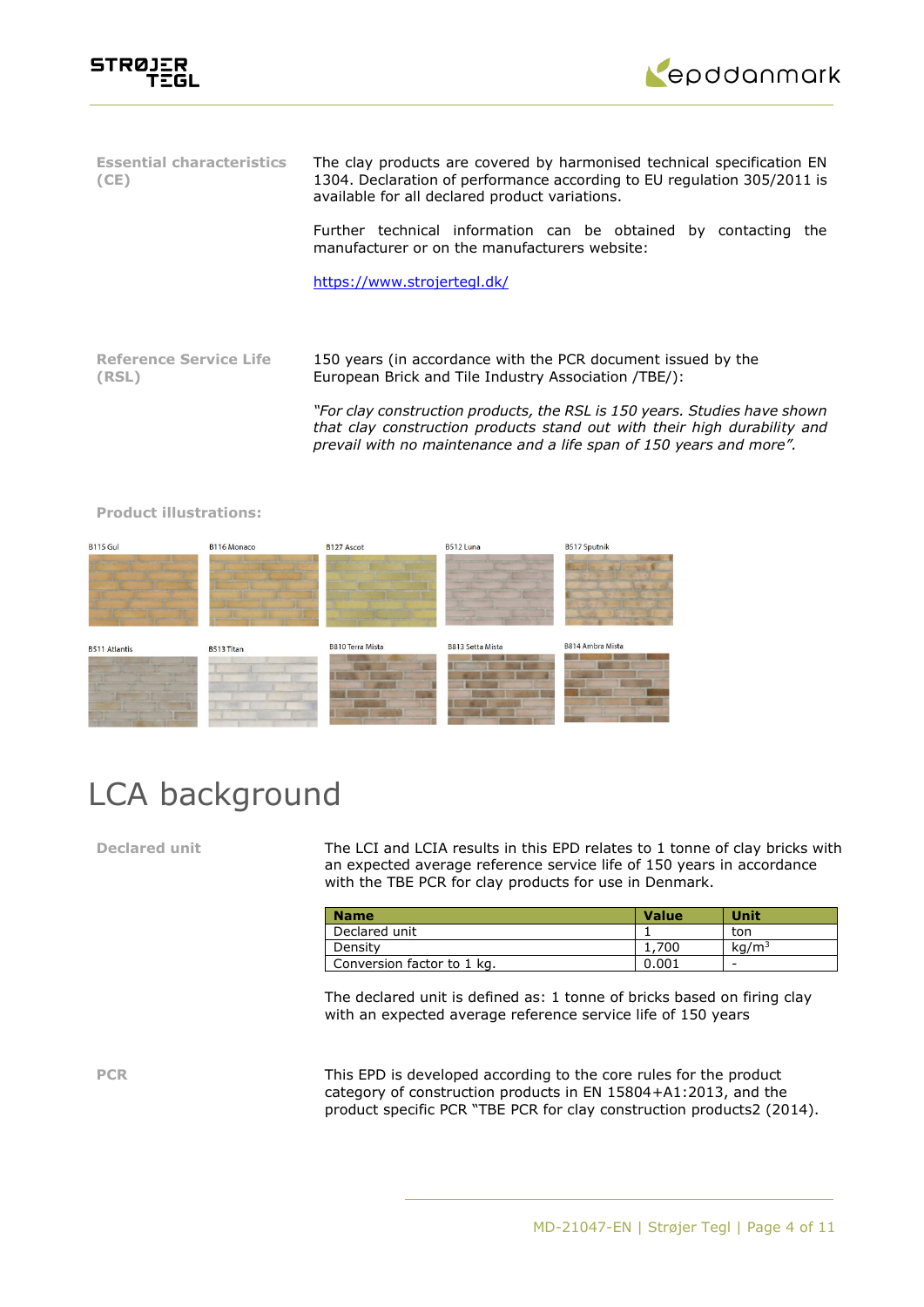



| <b>Essential characteristics</b><br>(CE) | The clay products are covered by harmonised technical specification EN<br>1304. Declaration of performance according to EU regulation 305/2011 is<br>available for all declared product variations.                          |  |  |  |  |
|------------------------------------------|------------------------------------------------------------------------------------------------------------------------------------------------------------------------------------------------------------------------------|--|--|--|--|
|                                          | Further technical information can be obtained by contacting<br>the<br>manufacturer or on the manufacturers website:                                                                                                          |  |  |  |  |
|                                          | https://www.strojertegl.dk/                                                                                                                                                                                                  |  |  |  |  |
|                                          |                                                                                                                                                                                                                              |  |  |  |  |
| <b>Reference Service Life</b><br>(RSL)   | 150 years (in accordance with the PCR document issued by the<br>European Brick and Tile Industry Association (TBE):                                                                                                          |  |  |  |  |
|                                          | "For clay construction products, the RSL is 150 years. Studies have shown<br>that clay construction products stand out with their high durability and<br>prevail with no maintenance and a life span of 150 years and more". |  |  |  |  |

 $R115$  Gul B<sub>116</sub> Monaco B127 Ascot **B512 Luna** B517 Sputnik B814 Ambra Mista **B810 Terra Mista** B813 Setta Mista **B511 Atlantis** B513 Titan

#### **Product illustrations:**

# LCA background

**Declared unit** The LCI and LCIA results in this EPD relates to 1 tonne of clay bricks with an expected average reference service life of 150 years in accordance with the TBE PCR for clay products for use in Denmark.

| <b>Name</b>                | <b>Value</b> | Unit              |
|----------------------------|--------------|-------------------|
| Declared unit              |              | ton               |
| Density                    | 1,700        | kq/m <sup>3</sup> |
| Conversion factor to 1 kg. | 0.001        | -                 |

The declared unit is defined as: 1 tonne of bricks based on firing clay with an expected average reference service life of 150 years

**PCR** This EPD is developed according to the core rules for the product category of construction products in EN 15804+A1:2013, and the product specific PCR "TBE PCR for clay construction products2 (2014).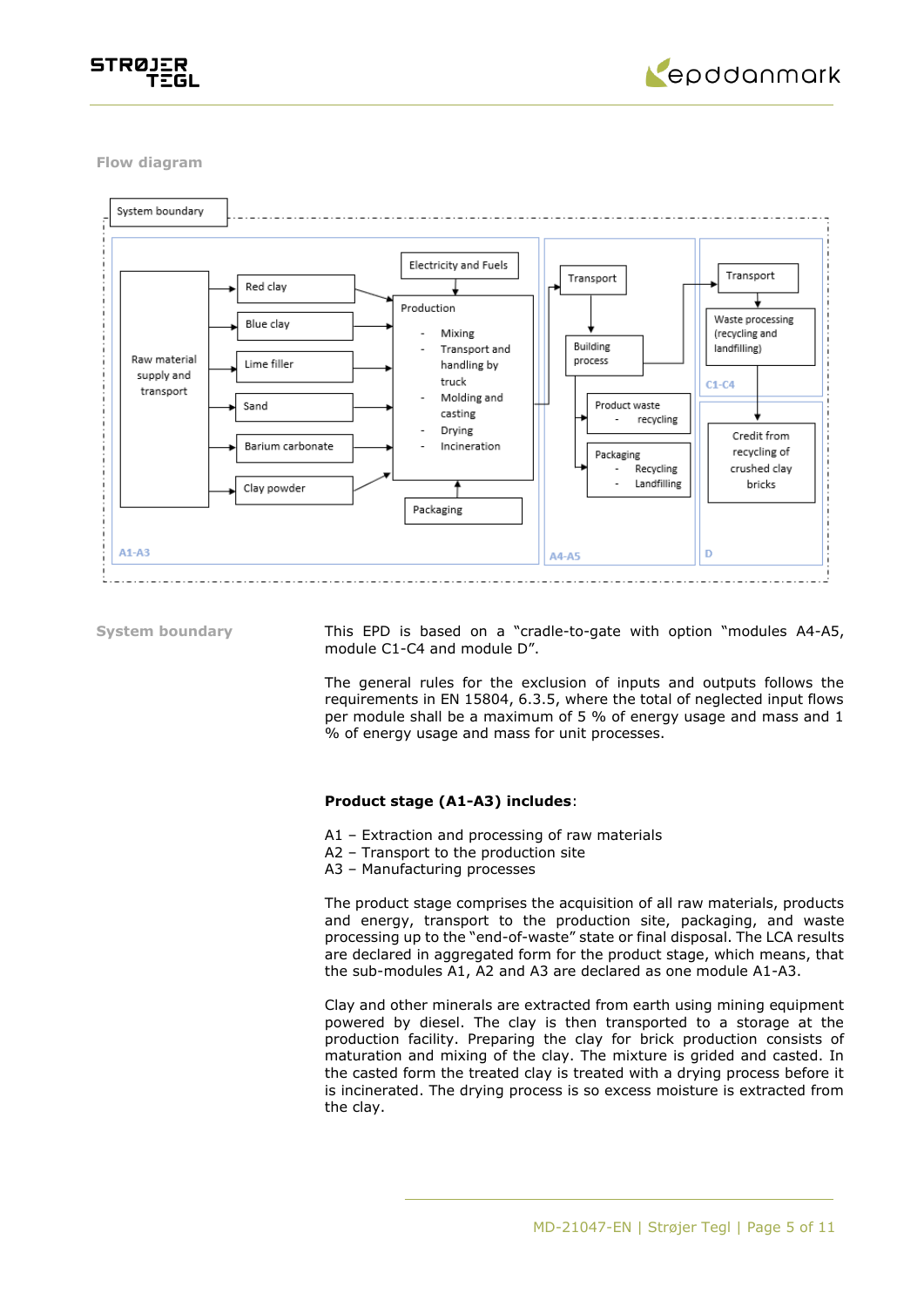



**Flow diagram**



**System boundary** This EPD is based on a "cradle-to-gate with option "modules A4-A5, module C1-C4 and module D".

> The general rules for the exclusion of inputs and outputs follows the requirements in EN 15804, 6.3.5, where the total of neglected input flows per module shall be a maximum of 5 % of energy usage and mass and 1 % of energy usage and mass for unit processes.

#### **Product stage (A1-A3) includes**:

- A1 Extraction and processing of raw materials
- A2 Transport to the production site
- A3 Manufacturing processes

The product stage comprises the acquisition of all raw materials, products and energy, transport to the production site, packaging, and waste processing up to the "end-of-waste" state or final disposal. The LCA results are declared in aggregated form for the product stage, which means, that the sub-modules A1, A2 and A3 are declared as one module A1-A3.

Clay and other minerals are extracted from earth using mining equipment powered by diesel. The clay is then transported to a storage at the production facility. Preparing the clay for brick production consists of maturation and mixing of the clay. The mixture is grided and casted. In the casted form the treated clay is treated with a drying process before it is incinerated. The drying process is so excess moisture is extracted from the clay.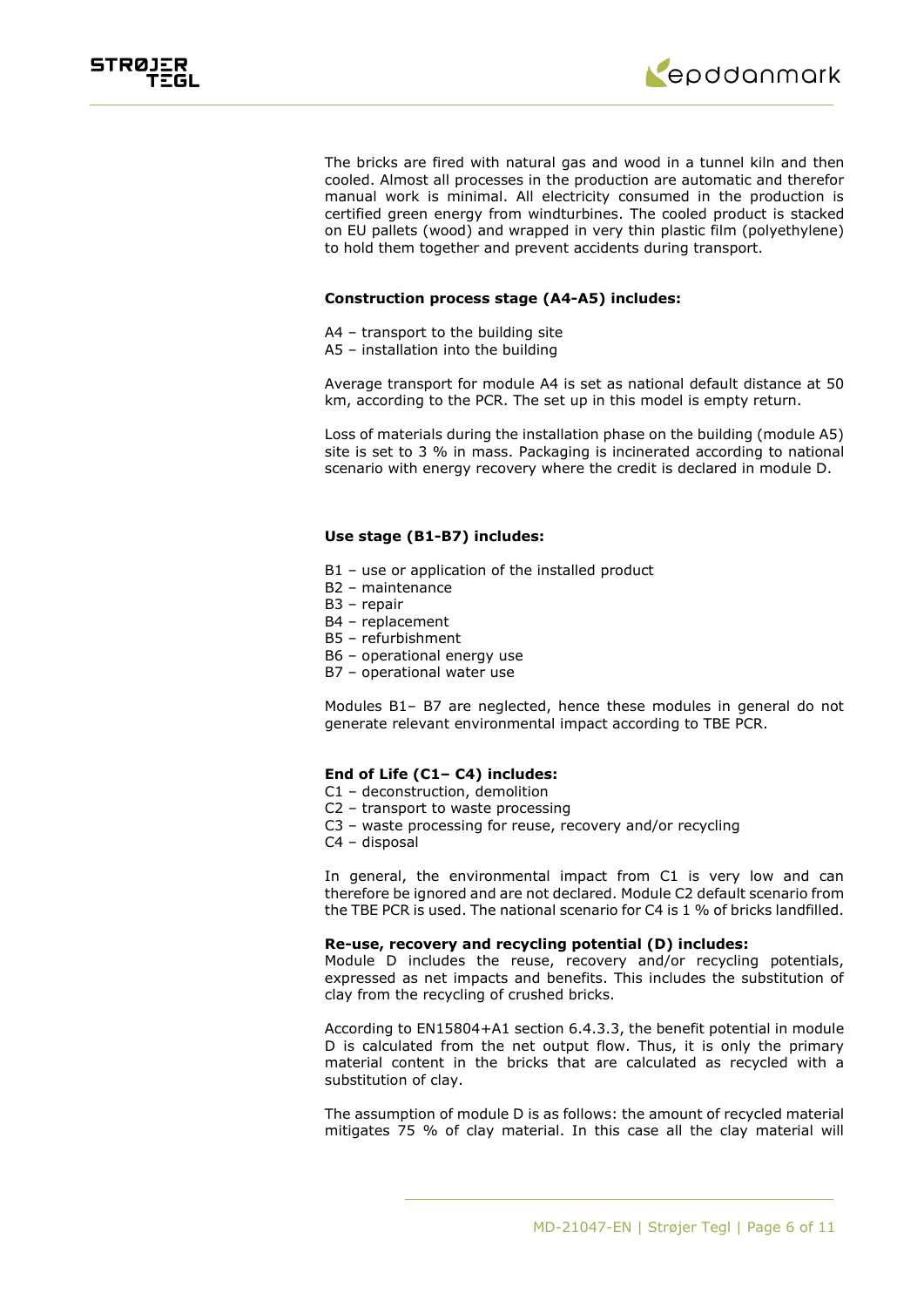



The bricks are fired with natural gas and wood in a tunnel kiln and then cooled. Almost all processes in the production are automatic and therefor manual work is minimal. All electricity consumed in the production is certified green energy from windturbines. The cooled product is stacked on EU pallets (wood) and wrapped in very thin plastic film (polyethylene) to hold them together and prevent accidents during transport.

#### **Construction process stage (A4-A5) includes:**

- A4 transport to the building site
- A5 installation into the building

Average transport for module A4 is set as national default distance at 50 km, according to the PCR. The set up in this model is empty return.

Loss of materials during the installation phase on the building (module A5) site is set to 3 % in mass. Packaging is incinerated according to national scenario with energy recovery where the credit is declared in module D.

### **Use stage (B1-B7) includes:**

- B1 use or application of the installed product
- B2 maintenance
- B3 repair
- B4 replacement
- B5 refurbishment
- B6 operational energy use
- B7 operational water use

Modules B1– B7 are neglected, hence these modules in general do not generate relevant environmental impact according to TBE PCR.

#### **End of Life (C1– C4) includes:**

- C1 deconstruction, demolition
- C2 transport to waste processing
- C3 waste processing for reuse, recovery and/or recycling
- C4 disposal

In general, the environmental impact from C1 is very low and can therefore be ignored and are not declared. Module C2 default scenario from the TBE PCR is used. The national scenario for C4 is 1 % of bricks landfilled.

#### **Re-use, recovery and recycling potential (D) includes:**

Module D includes the reuse, recovery and/or recycling potentials, expressed as net impacts and benefits. This includes the substitution of clay from the recycling of crushed bricks.

According to EN15804+A1 section 6.4.3.3, the benefit potential in module D is calculated from the net output flow. Thus, it is only the primary material content in the bricks that are calculated as recycled with a substitution of clay.

The assumption of module D is as follows: the amount of recycled material mitigates 75 % of clay material. In this case all the clay material will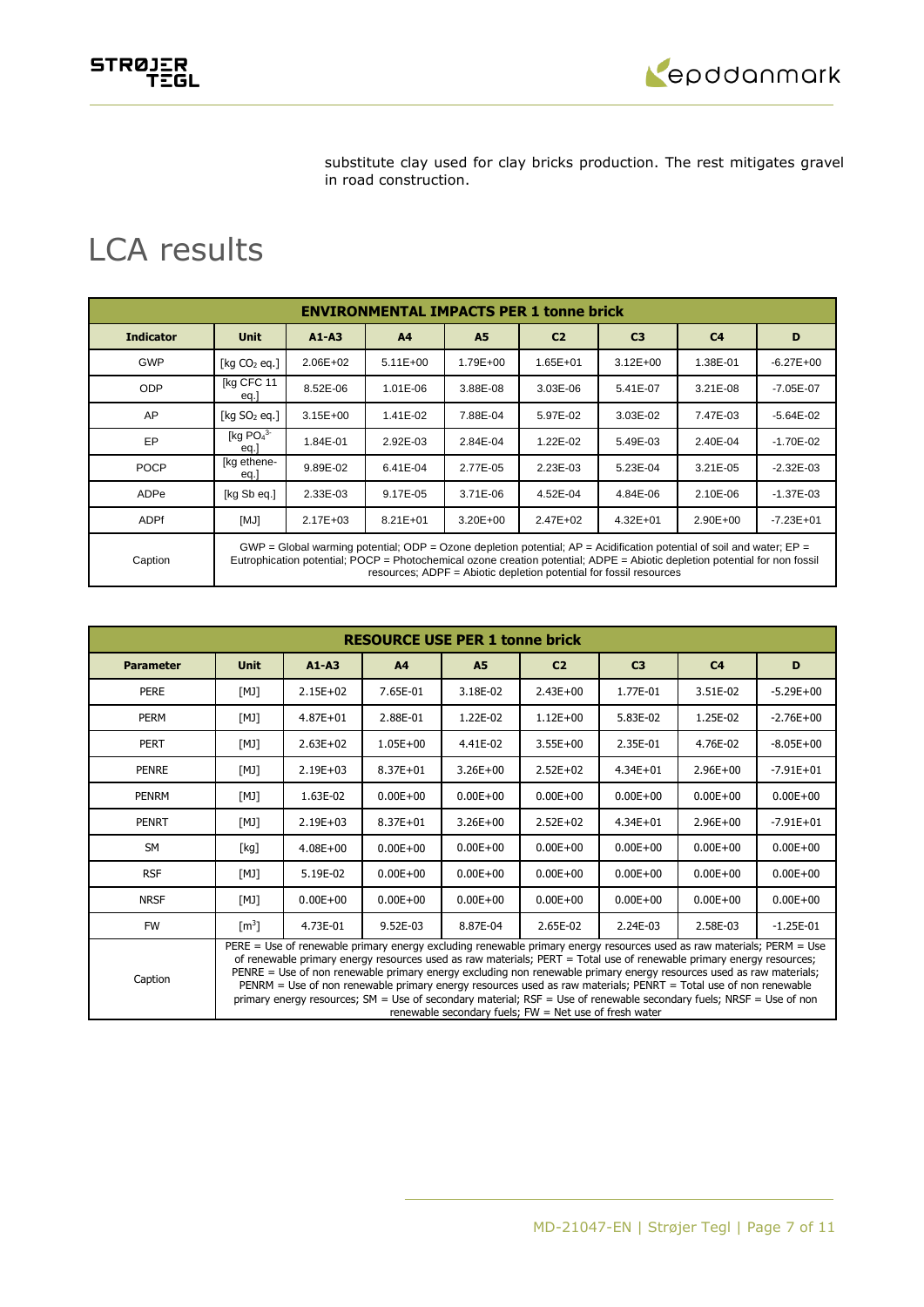STRØJER<br>TEGL



substitute clay used for clay bricks production. The rest mitigates gravel in road construction.

## LCA results

| <b>ENVIRONMENTAL IMPACTS PER 1 tonne brick</b> |                                                                                                                                                                                                                                                                                                                               |              |                |           |                |                |                |               |
|------------------------------------------------|-------------------------------------------------------------------------------------------------------------------------------------------------------------------------------------------------------------------------------------------------------------------------------------------------------------------------------|--------------|----------------|-----------|----------------|----------------|----------------|---------------|
| <b>Indicator</b>                               | <b>Unit</b>                                                                                                                                                                                                                                                                                                                   | $A1 - A3$    | A <sup>4</sup> | <b>A5</b> | C <sub>2</sub> | C <sub>3</sub> | C <sub>4</sub> | D             |
| <b>GWP</b>                                     | $\lceil$ kg CO <sub>2</sub> eg.                                                                                                                                                                                                                                                                                               | $2.06E + 02$ | $5.11E+00$     | 1.79E+00  | $1.65E + 01$   | $3.12E + 00$   | 1.38E-01       | $-6.27E + 00$ |
| <b>ODP</b>                                     | [kg CFC 11<br>eq.J                                                                                                                                                                                                                                                                                                            | 8.52E-06     | 1.01E-06       | 3.88E-08  | $3.03E - 06$   | 5.41E-07       | $3.21E-08$     | $-7.05E - 07$ |
| AP                                             | [kg $SO2$ eg.]                                                                                                                                                                                                                                                                                                                | $3.15E + 00$ | 1.41E-02       | 7.88E-04  | 5.97E-02       | 3.03E-02       | 7.47E-03       | $-5.64E - 02$ |
| EP                                             | [kg $PO43$<br>eq.J                                                                                                                                                                                                                                                                                                            | 1.84E-01     | 2.92E-03       | 2.84E-04  | 1.22E-02       | 5.49E-03       | 2.40E-04       | $-1.70E - 02$ |
| <b>POCP</b>                                    | [kg ethene-<br>eq.J                                                                                                                                                                                                                                                                                                           | 9.89E-02     | 6.41E-04       | 2.77E-05  | 2.23E-03       | 5.23E-04       | $3.21E-05$     | $-2.32E - 03$ |
| ADPe                                           | [kg Sb eq.]                                                                                                                                                                                                                                                                                                                   | 2.33E-03     | 9.17E-05       | 3.71E-06  | 4.52E-04       | 4.84E-06       | 2.10E-06       | $-1.37E - 03$ |
| ADPf                                           | [MJ]                                                                                                                                                                                                                                                                                                                          | $2.17E + 03$ | $8.21E + 01$   | 3.20E+00  | 2.47E+02       | $4.32E + 01$   | $2.90E + 00$   | $-7.23E + 01$ |
| Caption                                        | GWP = Global warming potential; ODP = Ozone depletion potential; $AP =$ Acidification potential of soil and water; $EP =$<br>Eutrophication potential; POCP = Photochemical ozone creation potential; ADPE = Abiotic depletion potential for non fossil<br>resources; ADPF = Abiotic depletion potential for fossil resources |              |                |           |                |                |                |               |

| <b>RESOURCE USE PER 1 tonne brick</b> |                                                                                                                                                                                                                                                                                                                                                                                                                                                                                                                                                                                                                                                                            |              |                |              |                |                |                |               |
|---------------------------------------|----------------------------------------------------------------------------------------------------------------------------------------------------------------------------------------------------------------------------------------------------------------------------------------------------------------------------------------------------------------------------------------------------------------------------------------------------------------------------------------------------------------------------------------------------------------------------------------------------------------------------------------------------------------------------|--------------|----------------|--------------|----------------|----------------|----------------|---------------|
| <b>Parameter</b>                      | <b>Unit</b>                                                                                                                                                                                                                                                                                                                                                                                                                                                                                                                                                                                                                                                                | $A1 - A3$    | A <sub>4</sub> | <b>A5</b>    | C <sub>2</sub> | C <sub>3</sub> | C <sub>4</sub> | D             |
| <b>PERE</b>                           | [MJ]                                                                                                                                                                                                                                                                                                                                                                                                                                                                                                                                                                                                                                                                       | $2.15E + 02$ | 7.65E-01       | 3.18E-02     | $2.43E + 00$   | 1.77E-01       | 3.51E-02       | $-5.29E + 00$ |
| <b>PERM</b>                           | [MJ]                                                                                                                                                                                                                                                                                                                                                                                                                                                                                                                                                                                                                                                                       | $4.87E + 01$ | 2.88E-01       | 1.22E-02     | $1.12E + 00$   | 5.83E-02       | 1.25E-02       | $-2.76E + 00$ |
| <b>PERT</b>                           | [MJ]                                                                                                                                                                                                                                                                                                                                                                                                                                                                                                                                                                                                                                                                       | $2.63E + 02$ | $1.05E + 00$   | 4.41E-02     | $3.55E + 00$   | 2.35E-01       | 4.76E-02       | $-8.05E + 00$ |
| <b>PENRE</b>                          | [MJ]                                                                                                                                                                                                                                                                                                                                                                                                                                                                                                                                                                                                                                                                       | $2.19E + 03$ | $8.37E + 01$   | $3.26E + 00$ | $2.52E+02$     | $4.34E + 01$   | $2.96E + 00$   | $-7.91E + 01$ |
| PENRM                                 | [MJ]                                                                                                                                                                                                                                                                                                                                                                                                                                                                                                                                                                                                                                                                       | 1.63E-02     | $0.00E + 00$   | $0.00E + 00$ | $0.00E + 00$   | $0.00E + 00$   | $0.00E + 00$   | $0.00E + 00$  |
| <b>PENRT</b>                          | [MJ]                                                                                                                                                                                                                                                                                                                                                                                                                                                                                                                                                                                                                                                                       | $2.19E + 03$ | $8.37E + 01$   | $3.26E + 00$ | $2.52E + 02$   | $4.34E + 01$   | $2.96E + 00$   | $-7.91E + 01$ |
| <b>SM</b>                             | [kg]                                                                                                                                                                                                                                                                                                                                                                                                                                                                                                                                                                                                                                                                       | $4.08E + 00$ | $0.00E + 00$   | $0.00E + 00$ | $0.00E + 00$   | $0.00E + 00$   | $0.00E + 00$   | $0.00E + 00$  |
| <b>RSF</b>                            | [MJ]                                                                                                                                                                                                                                                                                                                                                                                                                                                                                                                                                                                                                                                                       | 5.19E-02     | $0.00E + 00$   | $0.00E + 00$ | $0.00E + 00$   | $0.00E + 00$   | $0.00E + 00$   | $0.00E + 00$  |
| <b>NRSF</b>                           | [MJ]                                                                                                                                                                                                                                                                                                                                                                                                                                                                                                                                                                                                                                                                       | $0.00E + 00$ | $0.00E + 00$   | $0.00E + 00$ | $0.00E + 00$   | $0.00E + 00$   | $0.00E + 00$   | $0.00E + 00$  |
| <b>FW</b>                             | $\lceil m^3 \rceil$                                                                                                                                                                                                                                                                                                                                                                                                                                                                                                                                                                                                                                                        | 4.73E-01     | 9.52E-03       | 8.87E-04     | 2.65E-02       | 2.24E-03       | 2.58E-03       | $-1.25E-01$   |
| Caption                               | PERE = Use of renewable primary energy excluding renewable primary energy resources used as raw materials; PERM = Use<br>of renewable primary energy resources used as raw materials; PERT = Total use of renewable primary energy resources;<br>PENRE = Use of non renewable primary energy excluding non renewable primary energy resources used as raw materials;<br>PENRM = Use of non renewable primary energy resources used as raw materials; PENRT = Total use of non renewable<br>primary energy resources; SM = Use of secondary material; RSF = Use of renewable secondary fuels; NRSF = Use of non<br>renewable secondary fuels; $FW = Net$ use of fresh water |              |                |              |                |                |                |               |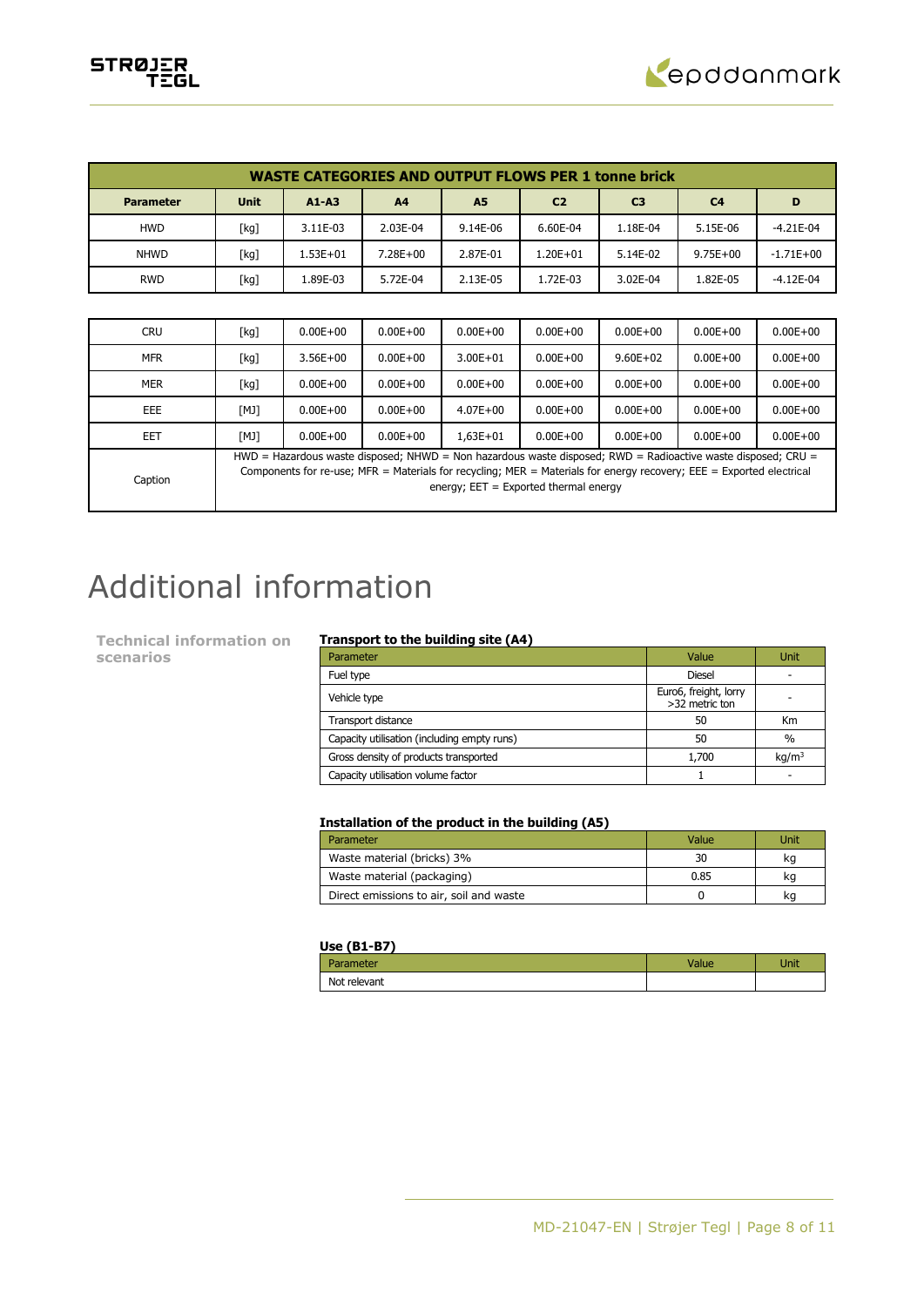

| <b>WASTE CATEGORIES AND OUTPUT FLOWS PER 1 tonne brick</b> |             |              |              |                |                |                |                |             |
|------------------------------------------------------------|-------------|--------------|--------------|----------------|----------------|----------------|----------------|-------------|
| <b>Parameter</b>                                           | <b>Unit</b> | $A1 - A3$    | A4           | A <sub>5</sub> | C <sub>2</sub> | C <sub>3</sub> | C <sub>4</sub> | D           |
| <b>HWD</b>                                                 | [kg]        | 3.11E-03     | 2.03E-04     | 9.14E-06       | 6.60E-04       | 1.18E-04       | 5.15E-06       | $-4.21E-04$ |
| <b>NHWD</b>                                                | [kg]        | $1.53E + 01$ | $7.28E + 00$ | 2.87E-01       | $1.20E + 01$   | 5.14E-02       | $9.75E + 00$   | $-1.71E+00$ |
| <b>RWD</b>                                                 | [kg]        | .89E-03      | 5.72E-04     | 2.13E-05       | 1.72E-03       | 3.02E-04       | 1.82E-05       | $-4.12E-04$ |

| <b>CRU</b> | [kg]                                                                                                                                                                                                                                                                            | $0.00E + 00$ | $0.00E + 00$ | $0.00E + 00$ | $0.00E + 00$ | $0.00E + 00$ | $0.00E + 00$ | $0.00E + 00$ |
|------------|---------------------------------------------------------------------------------------------------------------------------------------------------------------------------------------------------------------------------------------------------------------------------------|--------------|--------------|--------------|--------------|--------------|--------------|--------------|
| <b>MFR</b> | [kg]                                                                                                                                                                                                                                                                            | $3.56E + 00$ | $0.00E + 00$ | $3.00E + 01$ | $0.00E + 00$ | $9.60E + 02$ | $0.00E + 00$ | $0.00E + 00$ |
| <b>MER</b> | [kg]                                                                                                                                                                                                                                                                            | $0.00E + 00$ | $0.00E + 00$ | $0.00E + 00$ | $0.00E + 00$ | $0.00E + 00$ | $0.00E + 00$ | $0.00E + 00$ |
| EEE        | [MJ]                                                                                                                                                                                                                                                                            | $0.00E + 00$ | $0.00E + 00$ | $4.07E + 00$ | $0.00E + 00$ | $0.00E + 00$ | $0.00E + 00$ | $0.00E + 00$ |
| EET        | [MJ]                                                                                                                                                                                                                                                                            | $0.00E + 00$ | $0.00E + 00$ | $1.63E + 01$ | $0.00E + 00$ | $0.00E + 00$ | $0.00E + 00$ | $0.00E + 00$ |
| Caption    | HWD = Hazardous waste disposed; NHWD = Non hazardous waste disposed; RWD = Radioactive waste disposed; CRU =<br>Components for re-use; MFR = Materials for recycling; MER = Materials for energy recovery; EEE = Exported electrical<br>energy; $EET = Exported thermal energy$ |              |              |              |              |              |              |              |

# Additional information

**Technical information on scenarios**

## **Transport to the building site (A4)**

| Parameter                                   | Value                                   | Unit              |
|---------------------------------------------|-----------------------------------------|-------------------|
| Fuel type                                   | <b>Diesel</b>                           |                   |
| Vehicle type                                | Euro6, freight, lorry<br>>32 metric ton |                   |
| Transport distance                          | 50                                      | <b>Km</b>         |
| Capacity utilisation (including empty runs) | 50                                      | $\%$              |
| Gross density of products transported       | 1,700                                   | kq/m <sup>3</sup> |
| Capacity utilisation volume factor          |                                         |                   |

## **Installation of the product in the building (A5)**

| Parameter                               | Value | Unit |
|-----------------------------------------|-------|------|
| Waste material (bricks) 3%              | 30    | κa   |
| Waste material (packaging)              | 0.85  | κa   |
| Direct emissions to air, soil and waste |       |      |

## **Use (B1-B7)**

| ameter       | Unit |
|--------------|------|
| Not relevant |      |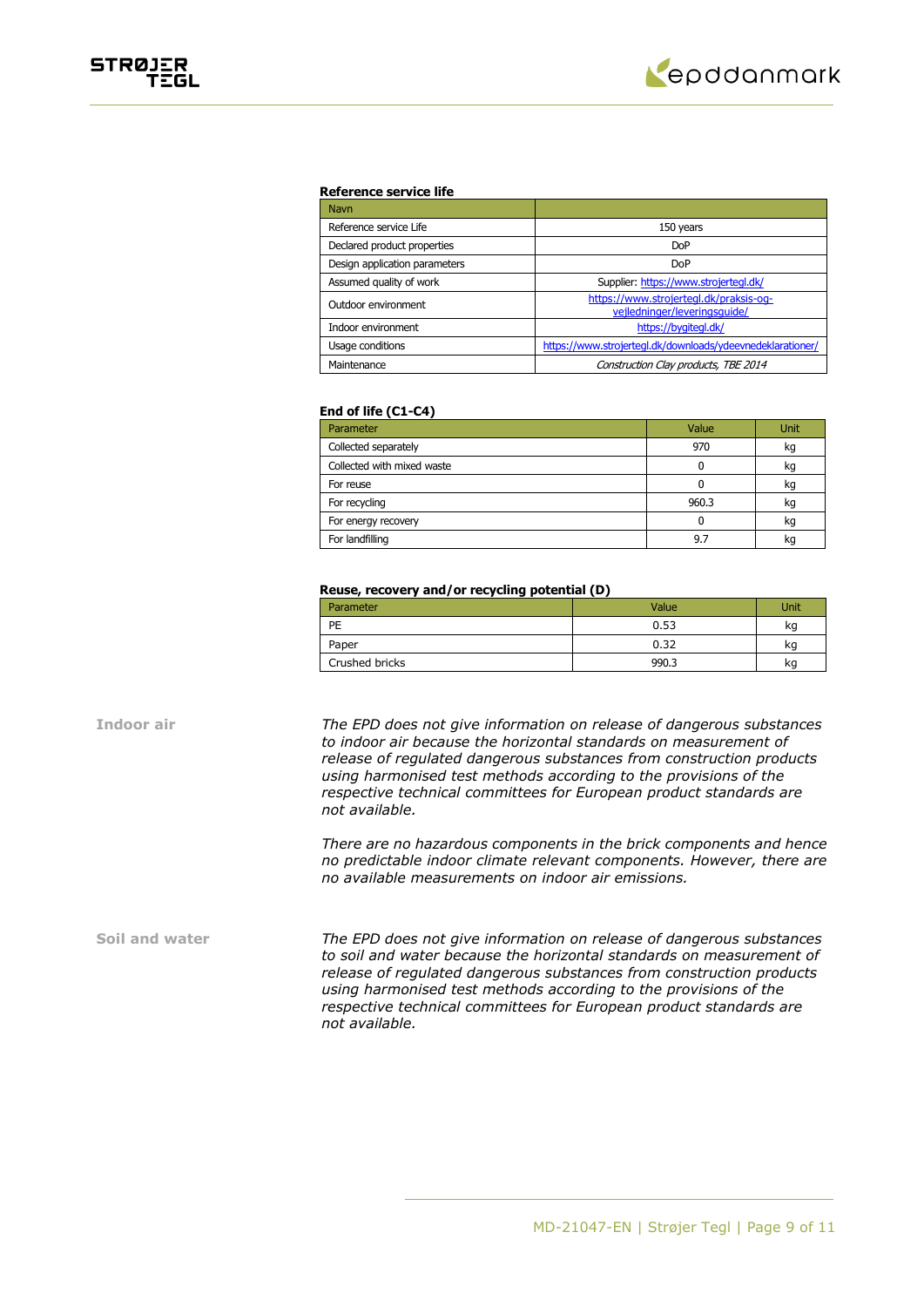

#### **Reference service life**

| <b>Navn</b>                   |                                                                        |
|-------------------------------|------------------------------------------------------------------------|
| Reference service Life        | 150 years                                                              |
| Declared product properties   | <b>DoP</b>                                                             |
| Design application parameters | <b>DoP</b>                                                             |
| Assumed quality of work       | Supplier: https://www.strojertegl.dk/                                  |
| Outdoor environment           | https://www.strojertegl.dk/praksis-og-<br>vejledninger/leveringsquide/ |
| Indoor environment            | https://bygitegl.dk/                                                   |
| Usage conditions              | https://www.strojertegl.dk/downloads/ydeevnedeklarationer/             |
| Maintenance                   | Construction Clay products, TBE 2014                                   |

#### **End of life (C1-C4)**

| Parameter                  | Value | Unit |
|----------------------------|-------|------|
| Collected separately       | 970   | kg   |
| Collected with mixed waste |       | kq   |
| For reuse                  |       | kg   |
| For recycling              | 960.3 | kq   |
| For energy recovery        |       | kg   |
| For landfilling            | 9.7   | ĸc   |

#### **Reuse, recovery and/or recycling potential (D)**

| Parameter      | Value | Unit |
|----------------|-------|------|
| PE             | 0.53  | kg   |
| Paper          | 0.32  | kg   |
| Crushed bricks | 990.3 | kg   |

**Indoor air** *The EPD does not give information on release of dangerous substances to indoor air because the horizontal standards on measurement of release of regulated dangerous substances from construction products using harmonised test methods according to the provisions of the respective technical committees for European product standards are not available.*

> *There are no hazardous components in the brick components and hence no predictable indoor climate relevant components. However, there are no available measurements on indoor air emissions.*

**Soil and water** *The EPD does not give information on release of dangerous substances to soil and water because the horizontal standards on measurement of release of regulated dangerous substances from construction products using harmonised test methods according to the provisions of the respective technical committees for European product standards are not available.*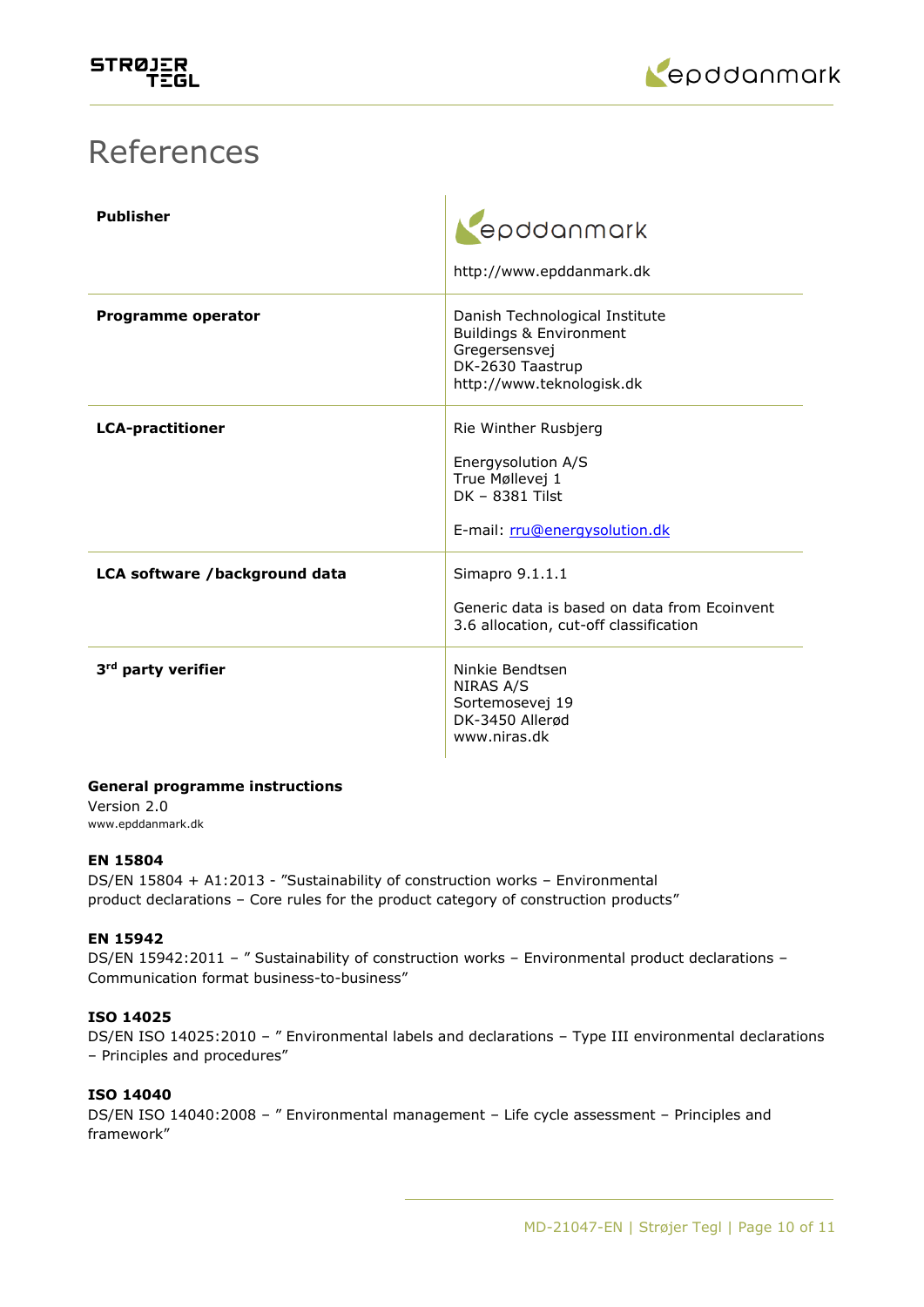

## References

| <b>Publisher</b>               | epddanmark<br>http://www.epddanmark.dk                                                                                      |
|--------------------------------|-----------------------------------------------------------------------------------------------------------------------------|
| Programme operator             | Danish Technological Institute<br>Buildings & Environment<br>Gregersensvej<br>DK-2630 Taastrup<br>http://www.teknologisk.dk |
| <b>LCA-practitioner</b>        | Rie Winther Rusbjerg<br>Energysolution A/S<br>True Møllevej 1<br>DK - 8381 Tilst<br>E-mail: rru@energysolution.dk           |
| LCA software /background data  | Simapro 9.1.1.1<br>Generic data is based on data from Ecoinvent<br>3.6 allocation, cut-off classification                   |
| 3 <sup>rd</sup> party verifier | Ninkie Bendtsen<br>NIRAS A/S<br>Sortemosevej 19<br>DK-3450 Allerød<br>www.niras.dk                                          |

## **General programme instructions**

Version 2.0 www.epddanmark.dk

## **EN 15804**

DS/EN 15804 + A1:2013 - "Sustainability of construction works – Environmental product declarations – Core rules for the product category of construction products"

## **EN 15942**

DS/EN 15942:2011 - " Sustainability of construction works - Environmental product declarations -Communication format business-to-business"

## **ISO 14025**

DS/EN ISO 14025:2010 – " Environmental labels and declarations – Type III environmental declarations – Principles and procedures"

## **ISO 14040**

DS/EN ISO 14040:2008 – " Environmental management – Life cycle assessment – Principles and framework"